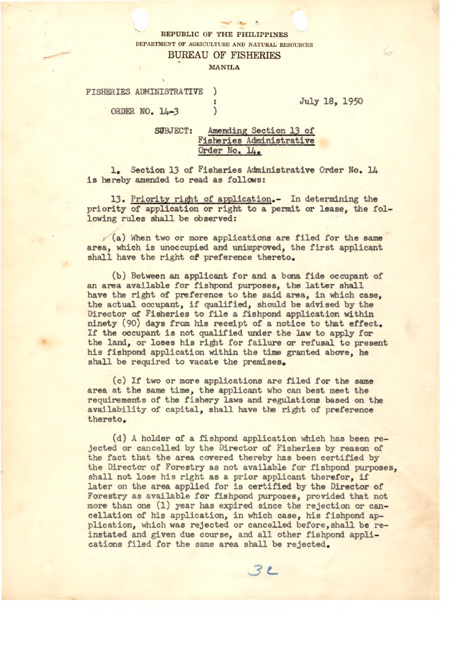## REPUBLIC OF THE PHILIPPINES DEPARTMENT OF AGRICULTURE AND NATURAL RESOURCES

BUREAU OF FISHERIES

 $\mathcal{L}$ 

 $\mathcal{E}$ 

MANILA

FISHERIES ADMINISTRATIVE

ORDER NO. 14-3

July 18, 1950

## SUBJECT: Amending Section 13 of Fisheries Administrative Order No. 14.

1. Section 13 of Fisheries Administrative Order No. 14 is hereby amended to read as follows:

13. Priority right of application.- In determining the priority of application or right to a permit or lease, the following rules shall be observed:

 $\sqrt{a}$ ) When two or more applications are filed for the same area, which is unoccupied and unimproved, the first applicant shall have the right of preference thereto.

(b) Between an applicant for and a bona fide occupant of an area available for fishpond purposes, the latter shall have the right of preference to the said area, in which case, the actual occupant, if qualified, should be advised by the Director of Fisheries to file a fishpond application within ninety (90) days from his receipt of a notice to that effect. If the occupant is not qualified under the law to apply for the land, or loses his right for failure or refusal to present his fishpond application within the time granted above, he shall be required to vacate the premises.

(c) If two or more applications are filed for the same area at the same time, the applicant who can best meet the requirements of the fishery laws and regulations based on the availability of capital, shall have the right of preference thereto.

(d) A holder of a fishpond application which has been rejected or cancelled by the Director of Fisheries by reason of the fact that the area covered thereby has been certified by the Director of Forestry as not available for fishpond purposes, shall not lose his right as a prior applicant therefor, if later on the area applied for is certified by the Director of Forestry as available for fishpond purposes, provided that not more than one (1) year has expired since the rejection or cancellation of his application, in which case, his fishpond application, which was rejected or cancelled before, shall be reinstated and given due course, and all other fishpond applications filed for the same area shall be rejected.

 $32$